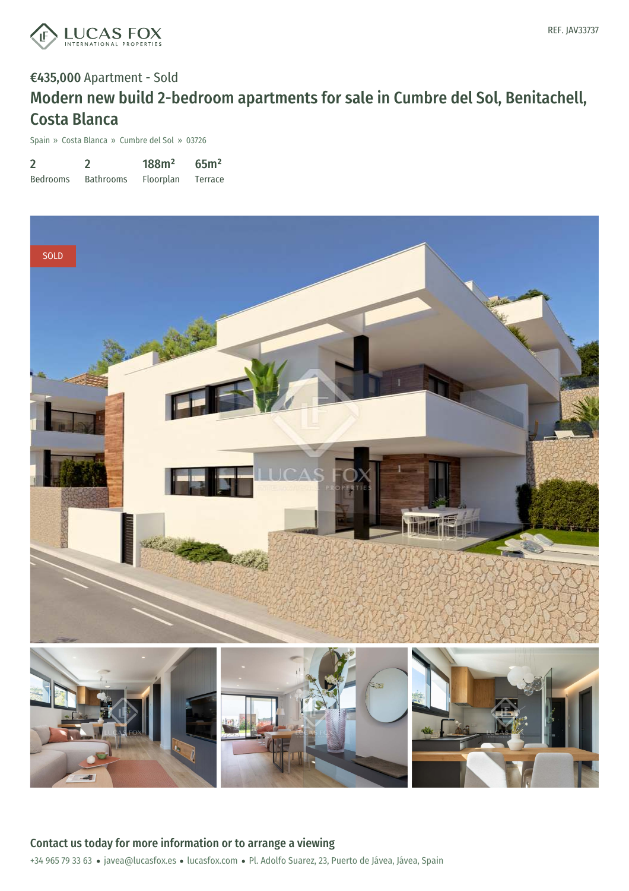

# €435,000 Apartment - Sold Modern new build 2-bedroom apartments for sale in Cumbre del Sol, Benitachell, Costa Blanca

Spain » Costa Blanca » Cumbre del Sol » 03726

| $\overline{2}$  |                  | 188m <sup>2</sup> | 65 <sup>m²</sup> |
|-----------------|------------------|-------------------|------------------|
| <b>Bedrooms</b> | <b>Bathrooms</b> | Floorplan         | Terrace          |

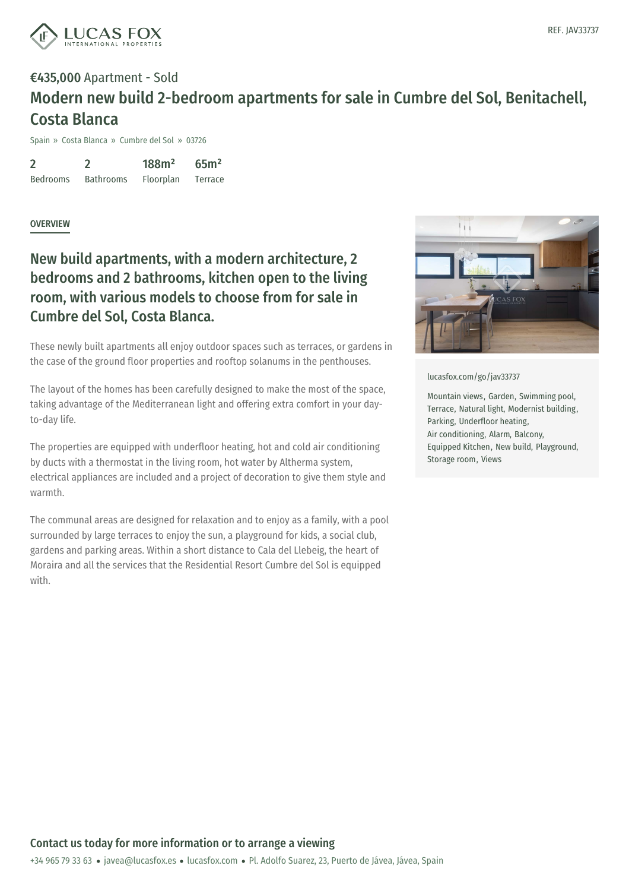

## €435,000 Apartment - Sold Modern new build 2-bedroom apartments for sale in Cumbre del Sol, Benitachell, Costa Blanca

Spain » Costa Blanca » Cumbre del Sol » 03726

2 Bedrooms 2 Bathrooms 188m² Floorplan 65m² Terrace

#### **OVERVIEW**

### New build apartments, with a modern architecture, 2 bedrooms and 2 bathrooms, kitchen open to the living room, with various models to choose from for sale in Cumbre del Sol, Costa Blanca.

These newly built apartments all enjoy outdoor spaces such as terraces, or gardens in the case of the ground floor properties and rooftop solanums in the penthouses.

The layout of the homes has been carefully designed to make the most of the space, taking advantage of the Mediterranean light and offering extra comfort in your dayto-day life.

The properties are equipped with underfloor heating, hot and cold air conditioning by ducts with a thermostat in the living room, hot water by Altherma system, electrical appliances are included and a project of decoration to give them style and warmth.

The communal areas are designed for relaxation and to enjoy as a family, with a pool surrounded by large terraces to enjoy the sun, a playground for kids, a social club, gardens and parking areas. Within a short distance to Cala del Llebeig, the heart of Moraira and all the services that the Residential Resort Cumbre del Sol is equipped with.



[lucasfox.com/go/jav33737](https://www.lucasfox.com/go/jav33737)

Mountain views, Garden, Swimming pool, Terrace, Natural light, Modernist building, Parking, Underfloor heating, Air conditioning, Alarm, Balcony, Equipped Kitchen, New build, Playground, Storage room, Views